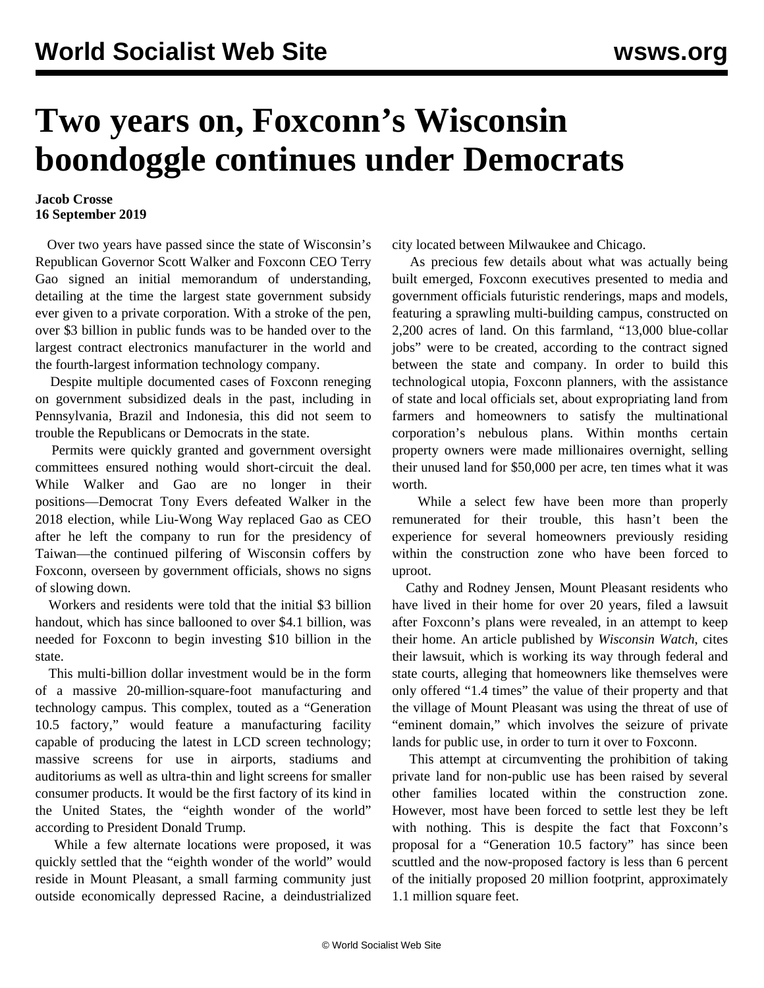## **Two years on, Foxconn's Wisconsin boondoggle continues under Democrats**

## **Jacob Crosse 16 September 2019**

 Over two years have passed since the state of Wisconsin's Republican Governor Scott Walker and Foxconn CEO Terry Gao signed an initial memorandum of understanding, detailing at the time the largest state government subsidy ever given to a private corporation. With a stroke of the pen, over \$3 billion in public funds was to be handed over to the largest contract electronics manufacturer in the world and the fourth-largest information technology company.

 Despite multiple documented cases of Foxconn reneging on government subsidized deals in the past, including in Pennsylvania, Brazil and Indonesia, this did not seem to trouble the Republicans or Democrats in the state.

 Permits were quickly granted and government oversight committees ensured nothing would short-circuit the deal. While Walker and Gao are no longer in their positions—Democrat Tony Evers defeated Walker in the 2018 election, while Liu-Wong Way replaced Gao as CEO after he left the company to run for the presidency of Taiwan—the continued pilfering of Wisconsin coffers by Foxconn, overseen by government officials, shows no signs of slowing down.

 Workers and residents were told that the initial \$3 billion handout, which has since ballooned to over \$4.1 billion, was needed for Foxconn to begin investing \$10 billion in the state.

 This multi-billion dollar investment would be in the form of a massive 20-million-square-foot manufacturing and technology campus. This complex, touted as a "Generation 10.5 factory," would feature a manufacturing facility capable of producing the latest in LCD screen technology; massive screens for use in airports, stadiums and auditoriums as well as ultra-thin and light screens for smaller consumer products. It would be the first factory of its kind in the United States, the "eighth wonder of the world" according to President Donald Trump.

 While a few alternate locations were proposed, it was quickly settled that the "eighth wonder of the world" would reside in Mount Pleasant, a small farming community just outside economically depressed Racine, a deindustrialized city located between Milwaukee and Chicago.

 As precious few details about what was actually being built emerged, Foxconn executives presented to media and government officials futuristic renderings, maps and models, featuring a sprawling multi-building campus, constructed on 2,200 acres of land. On this farmland, "13,000 blue-collar jobs" were to be created, according to the contract signed between the state and company. In order to build this technological utopia, Foxconn planners, with the assistance of state and local officials set, about expropriating land from farmers and homeowners to satisfy the multinational corporation's nebulous plans. Within months certain property owners were made millionaires overnight, selling their unused land for \$50,000 per acre, ten times what it was worth.

 While a select few have been more than properly remunerated for their trouble, this hasn't been the experience for several homeowners previously residing within the construction zone who have been forced to uproot.

 Cathy and Rodney Jensen, Mount Pleasant residents who have lived in their home for over 20 years, filed a lawsuit after Foxconn's plans were revealed, in an attempt to keep their home. An article published by *Wisconsin Watch*, cites their lawsuit, which is working its way through federal and state courts, alleging that homeowners like themselves were only offered "1.4 times" the value of their property and that the village of Mount Pleasant was using the threat of use of "eminent domain," which involves the seizure of private lands for public use, in order to turn it over to Foxconn.

 This attempt at circumventing the prohibition of taking private land for non-public use has been raised by several other families located within the construction zone. However, most have been forced to settle lest they be left with nothing. This is despite the fact that Foxconn's proposal for a "Generation 10.5 factory" has since been scuttled and the now-proposed factory is less than 6 percent of the initially proposed 20 million footprint, approximately 1.1 million square feet.